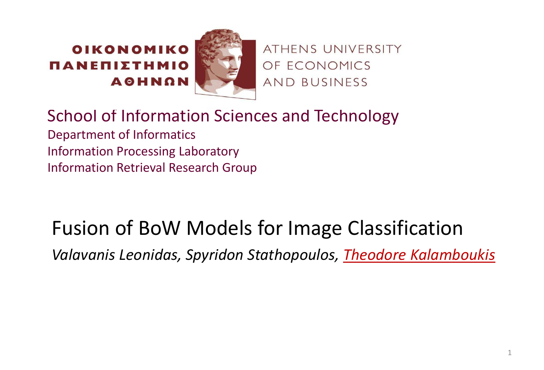#### OIKONOMIKO ΠΑΝΕΠΙΣΤΗΜΙΟ **AGHNON**



ATHENS UNIVERSITY OF ECONOMICS AND BUSINESS

School of Information Sciences and Technology Department of Informatics Information Processing Laboratory Information Retrieval Research Group

### Fusion of BoW Models for Image Classification

*Valavanis Leonidas, Spyridon Stathopoulos, Theodore Kalamboukis*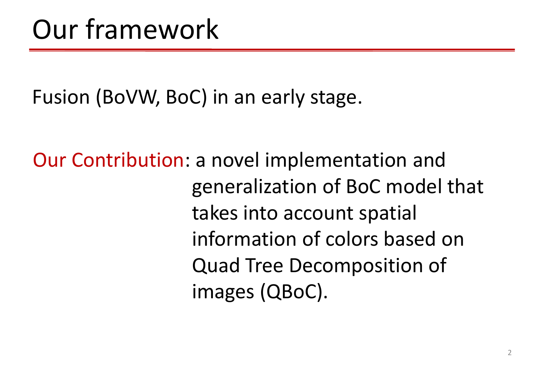Fusion (BoVW, BoC) in an early stage.

Our Contribution: a novel implementation and generalization of BoC model that takes into account spatial information of colors based on Quad Tree Decomposition of images (QBoC).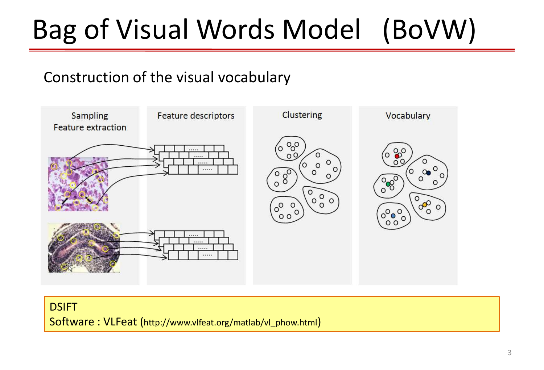## Bag of Visual Words Model (BoVW)

#### Construction of the visual vocabulary



#### DSIFT

Software : VLFeat (http://www.vlfeat.org/matlab/vl\_phow.html)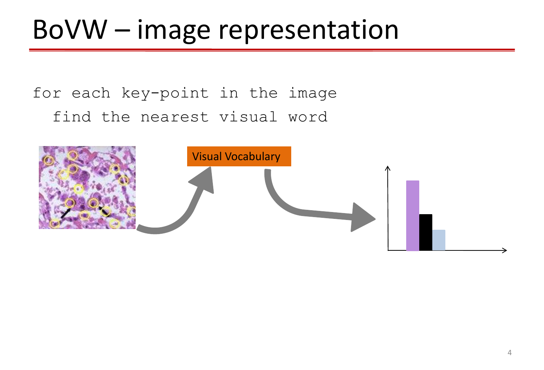### BoVW – image representation

#### for each key-point in the image find the nearest visual word

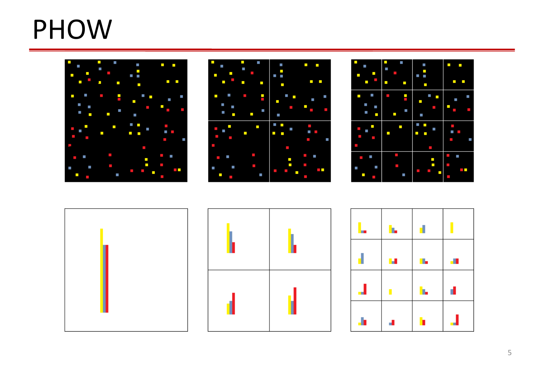### PHOW











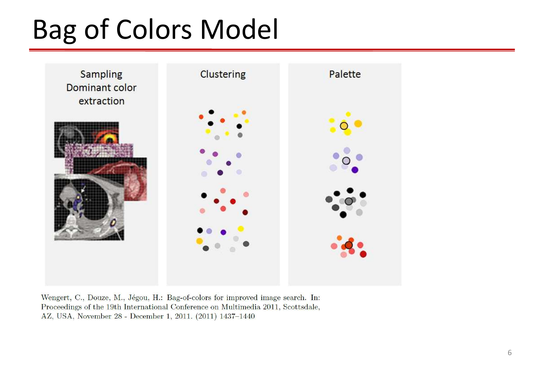### Bag of Colors Model



Wengert, C., Douze, M., Jégou, H.: Bag-of-colors for improved image search. In: Proceedings of the 19th International Conference on Multimedia 2011, Scottsdale, AZ, USA, November 28 - December 1, 2011. (2011) 1437-1440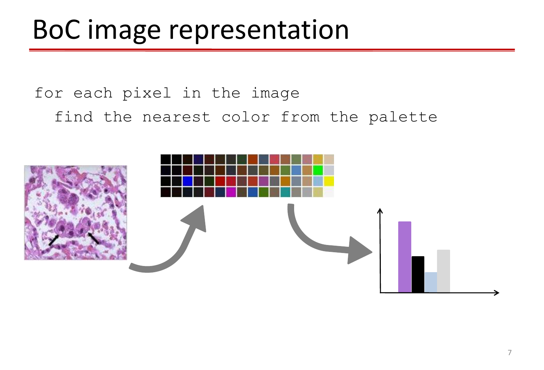### BoC image representation

#### for each pixel in the image find the nearest color from the palette

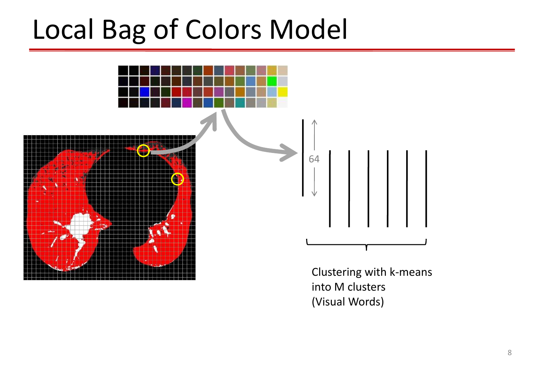### Local Bag of Colors Model



Clustering with k-means into M clusters (Visual Words)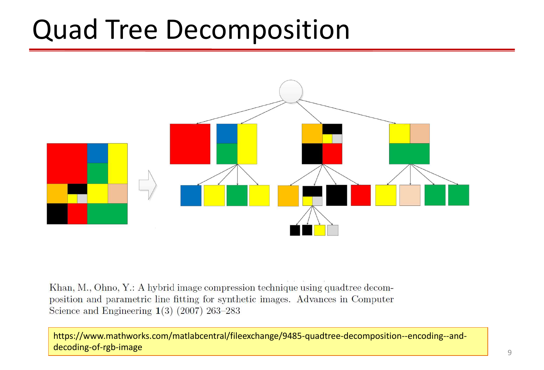### Quad Tree Decomposition



Khan, M., Ohno, Y.: A hybrid image compression technique using quadtree decomposition and parametric line fitting for synthetic images. Advances in Computer Science and Engineering  $1(3)$  (2007) 263–283

https://www.mathworks.com/matlabcentral/fileexchange/9485-quadtree-decomposition--encoding--anddecoding-of-rgb-image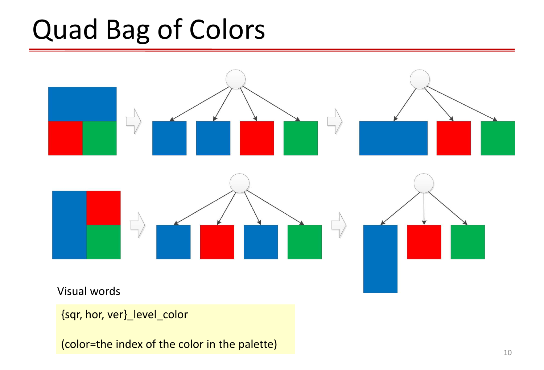### Quad Bag of Colors



{sqr, hor, ver}\_level\_color

(color=the index of the color in the palette)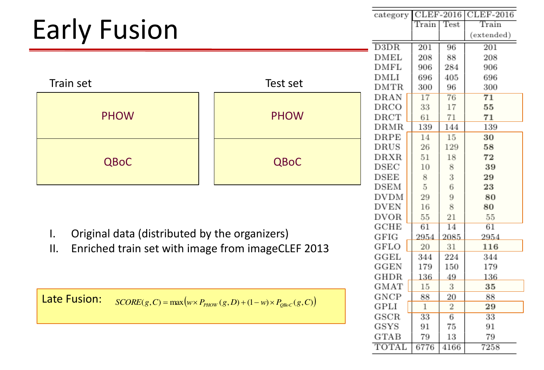|                                                                                              | category    |                            |        | CLEF-2016 CLEF-2016 |            |
|----------------------------------------------------------------------------------------------|-------------|----------------------------|--------|---------------------|------------|
| <b>Early Fusion</b>                                                                          |             | Train                      | Test   | Train               |            |
|                                                                                              |             |                            |        |                     | (extended) |
|                                                                                              |             | D3DR                       | 201    | 96                  | 201        |
|                                                                                              |             | <b>DMEL</b>                | 208    | 88                  | 208        |
|                                                                                              |             | <b>DMFL</b><br><b>DMLI</b> | 906    | 284                 | 906        |
| <b>Train set</b><br>Test set                                                                 |             |                            | 696    | 405                 | 696        |
|                                                                                              |             | <b>DMTR</b>                | 300    | 96                  | 300        |
|                                                                                              |             | DRAN                       | 17     | 76                  | 71         |
|                                                                                              |             | DRCO                       | 33     | 17                  | 55         |
| <b>PHOW</b>                                                                                  | <b>PHOW</b> | DRCT                       | 61     | 71                  | 71         |
|                                                                                              |             | DRMR                       | 139    | 144                 | 139        |
|                                                                                              |             | DRPE                       | 14     | 15                  | 30         |
|                                                                                              |             | <b>DRUS</b>                | 26     | 129                 | 58         |
| <b>QBoC</b>                                                                                  | <b>QBoC</b> | <b>DRXR</b>                | 51     | 18                  | 72         |
|                                                                                              |             | <b>DSEC</b>                | 10     | 8                   | 39         |
|                                                                                              |             | <b>DSEE</b><br><b>DSEM</b> | 8<br>5 | 3<br>6              | 29<br>23   |
|                                                                                              | <b>DVDM</b> | 29                         | 9      | 80                  |            |
|                                                                                              | <b>DVEN</b> | 16                         | 8      | 80                  |            |
|                                                                                              | <b>DVOR</b> | 55                         | 21     | 55                  |            |
|                                                                                              |             | <b>GCHE</b>                | 61     | 14                  | 61         |
| Original data (distributed by the organizers)<br>$\mathbf{I}$ .                              |             | GFIG                       | 2954   | 2085                | 2954       |
| Enriched train set with image from imageCLEF 2013<br>II.                                     |             | GFLO                       | 20     | 31                  | 116        |
|                                                                                              | GGEL        | 344                        | 224    | 344                 |            |
|                                                                                              |             | <b>GGEN</b>                | 179    | 150                 | 179        |
|                                                                                              | <b>GHDR</b> | 136                        | 49     | 136                 |            |
|                                                                                              | <b>GMAT</b> | 15                         | 3      | 35                  |            |
| Late Fusion:<br>$SCORE(g, C) = max(w \times P_{PHOW}(g, D) + (1 - w) \times P_{QBOC}(g, C))$ |             |                            | 88     | 20                  | 88         |
|                                                                                              |             |                            | 1      | 2                   | 29         |
|                                                                                              |             | GSCR                       | 33     | 6                   | 33         |
|                                                                                              |             | GSYS                       | 91     | 75                  | 91         |
|                                                                                              |             | <b>GTAB</b>                | 79     | 13                  | 79         |
|                                                                                              |             | <b>TOTAL</b>               | 6776   | 4166                | 7258       |
|                                                                                              |             |                            |        |                     |            |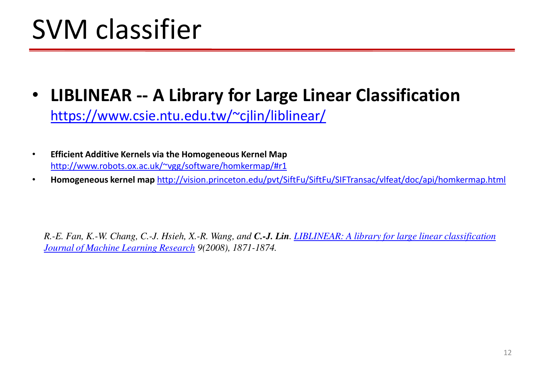### SVM classifier

- **LIBLINEAR -- A Library for Large Linear Classification**  <https://www.csie.ntu.edu.tw/~cjlin/liblinear/>
- **Efficient Additive Kernels via the Homogeneous Kernel Map**  [http://www.robots.ox.ac.uk/~vgg/software/homkermap/#r1](http://www.robots.ox.ac.uk/~vgg/software/homkermap/)
- **Homogeneous kernel map** <http://vision.princeton.edu/pvt/SiftFu/SiftFu/SIFTransac/vlfeat/doc/api/homkermap.html>

*R.-E. Fan, K.-W. Chang, C.-J. Hsieh, X.-R. Wang, and C.-J. Lin. [LIBLINEAR: A library for large linear classification](https://www.csie.ntu.edu.tw/~cjlin/papers/liblinear.pdf)  [Journal of Machine Learning Research](http://www.jmlr.org/) 9(2008), 1871-1874.*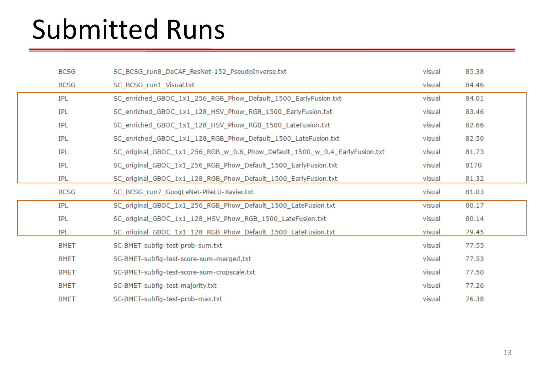### Submitted Runs

|             | <b>BCSG</b> | SC_BCSG_run8_DeCAF_ResNet-152_PseudoInverse.txt                            |        | 85.38 |
|-------------|-------------|----------------------------------------------------------------------------|--------|-------|
|             | <b>BCSG</b> | SC_BCSG_run1_Visual.txt                                                    | visual | 84.46 |
|             | IPL         | SC_enriched_GBOC_1x1_256_RGB_Phow_Default_1500_EarlyFusion.txt             | visual | 84.01 |
|             | IPL         | SC_enriched_GBOC_1x1_128_HSV_Phow_RGB_1500_EarlyFusion.txt                 | visual | 83.46 |
| <b>IPL</b>  |             | SC_enriched_GBOC_1x1_128_HSV_Phow_RGB_1500_LateFusion.txt                  |        | 82.66 |
|             | <b>IPL</b>  | SC_enriched_GBOC_1x1_128_RGB_Phow_Default_1500_LateFusion.txt              |        | 82.50 |
| <b>IPL</b>  |             | SC_original_GBOC_1x1_256_RGB_w_0.6_Phow_Default_1500_w_0.4_EarlyFusion.txt | visual | 81.73 |
|             | IPL         | SC_original_GBOC_1x1_256_RGB_Phow_Default_1500_EarlyFusion.txt             | visual | 8170  |
|             | <b>IPL</b>  | SC_original_GBOC_1x1_128_RGB_Phow_Default_1500_EarlyFusion.txt             | visual | 81.32 |
|             | <b>BCSG</b> | SC_BCSG_run7_GoogLeNet-PReLU-Xavier.txt                                    | visual | 81.03 |
|             | IPL         | SC_original_GBOC_1x1_256_RGB_Phow_Default_1500_LateFusion.txt              | visual | 80.17 |
|             | IPL         | SC_original_GBOC_1x1_128_HSV_Phow_RGB_1500_LateFusion.txt                  | visual | 80.14 |
|             | <b>IPL</b>  | SC original GBOC 1x1 128 RGB Phow Default 1500 LateFusion.txt              | visual | 79.45 |
|             | <b>BMET</b> | SC-BMET-subfig-test-prob-sum.txt                                           | visual | 77.55 |
| <b>BMET</b> |             |                                                                            |        |       |
|             |             | SC-BMET-subfig-test-score-sum-merged.txt                                   | visual | 77.53 |
|             | <b>BMET</b> | SC-BMET-subfig-test-score-sum-cropscale.txt                                | visual | 77.50 |
|             | <b>BMET</b> | SC-BMET-subfig-test-majority.txt                                           | visual | 77.26 |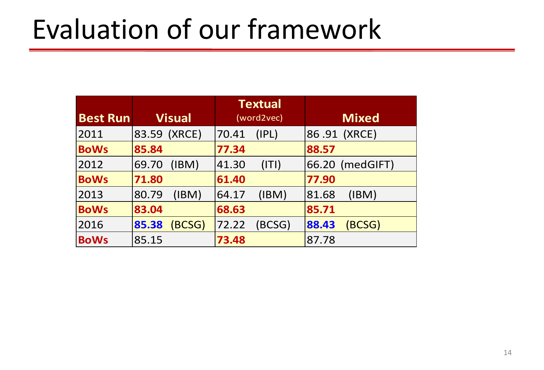### Evaluation of our framework

|                 |                | <b>Textual</b> |                 |
|-----------------|----------------|----------------|-----------------|
| <b>Best Run</b> | <b>Visual</b>  | (word2vec)     | <b>Mixed</b>    |
| 2011            | 83.59 (XRCE)   | 70.41<br>(IPL) | 86.91 (XRCE)    |
| <b>BoWs</b>     | 85.84          | 77.34          | 88.57           |
| 2012            | (IBM)<br>69.70 | 41.30<br>(ITI) | 66.20 (medGIFT) |
| <b>BoWs</b>     | 71.80          | 61.40          | 77.90           |
| 2013            | 80.79<br>(IBM) | 64.17<br>(IBM) | (IBM)<br>81.68  |
| <b>BoWs</b>     | 83.04          | 68.63          | 85.71           |
| 2016            | 85.38<br>BCSG) | BCSG)<br>72.22 | (BCSG)<br>88.43 |
| <b>BoWs</b>     | 85.15          | 73.48          | 87.78           |